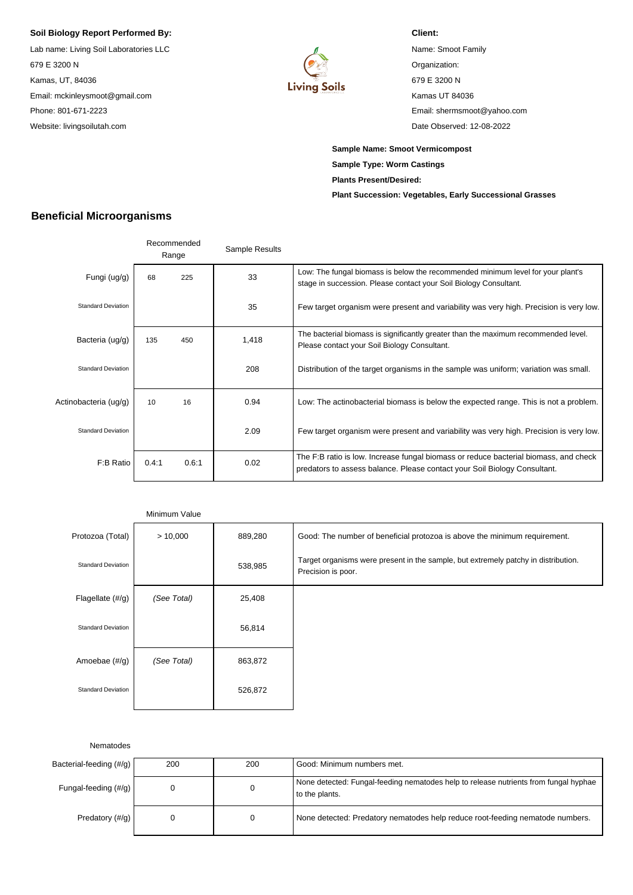## **Soil Biology Report Performed By:**

Lab name: Living Soil Laboratories LLC 679 E 3200 N Kamas, UT, 84036 Email: mckinleysmoot@gmail.com Phone: 801-671-2223 Website: livingsoilutah.com



Name: Smoot Family Organization: 679 E 3200 N Kamas UT 84036 Email: shermsmoot@yahoo.com Date Observed: 12-08-2022

**Sample Name: Smoot Vermicompost Sample Type: Worm Castings Plants Present/Desired: Plant Succession: Vegetables, Early Successional Grasses**

**Client:**

## **Beneficial Microorganisms**

|                           |       | Recommended<br>Range | Sample Results |                                                                                                                                                                   |
|---------------------------|-------|----------------------|----------------|-------------------------------------------------------------------------------------------------------------------------------------------------------------------|
| Fungi (ug/g)              | 68    | 225                  | 33             | Low: The fungal biomass is below the recommended minimum level for your plant's<br>stage in succession. Please contact your Soil Biology Consultant.              |
| <b>Standard Deviation</b> |       |                      | 35             | Few target organism were present and variability was very high. Precision is very low.                                                                            |
| Bacteria (ug/g)           | 135   | 450                  | 1,418          | The bacterial biomass is significantly greater than the maximum recommended level.<br>Please contact your Soil Biology Consultant.                                |
| <b>Standard Deviation</b> |       |                      | 208            | Distribution of the target organisms in the sample was uniform; variation was small.                                                                              |
| Actinobacteria (ug/g)     | 10    | 16                   | 0.94           | Low: The actinobacterial biomass is below the expected range. This is not a problem.                                                                              |
| <b>Standard Deviation</b> |       |                      | 2.09           | Few target organism were present and variability was very high. Precision is very low.                                                                            |
| F:B Ratio                 | 0.4:1 | 0.6:1                | 0.02           | The F:B ratio is low. Increase fungal biomass or reduce bacterial biomass, and check<br>predators to assess balance. Please contact your Soil Biology Consultant. |

|                             | Minimum Value |         |                                                                                                          |
|-----------------------------|---------------|---------|----------------------------------------------------------------------------------------------------------|
| Protozoa (Total)            | > 10,000      | 889,280 | Good: The number of beneficial protozoa is above the minimum requirement.                                |
| <b>Standard Deviation</b>   |               | 538,985 | Target organisms were present in the sample, but extremely patchy in distribution.<br>Precision is poor. |
| Flagellate $(\frac{\#}{q})$ | (See Total)   | 25,408  |                                                                                                          |
| <b>Standard Deviation</b>   |               | 56,814  |                                                                                                          |
| Amoebae (#/g)               | (See Total)   | 863,872 |                                                                                                          |
| <b>Standard Deviation</b>   |               | 526,872 |                                                                                                          |

Nematodes

| Bacterial-feeding (#/g) | 200 | 200 | Good: Minimum numbers met.                                                                             |
|-------------------------|-----|-----|--------------------------------------------------------------------------------------------------------|
| Fungal-feeding (#/g)    |     |     | None detected: Fungal-feeding nematodes help to release nutrients from fungal hyphae<br>to the plants. |
| Predatory (#/q)         |     | 0   | None detected: Predatory nematodes help reduce root-feeding nematode numbers.                          |